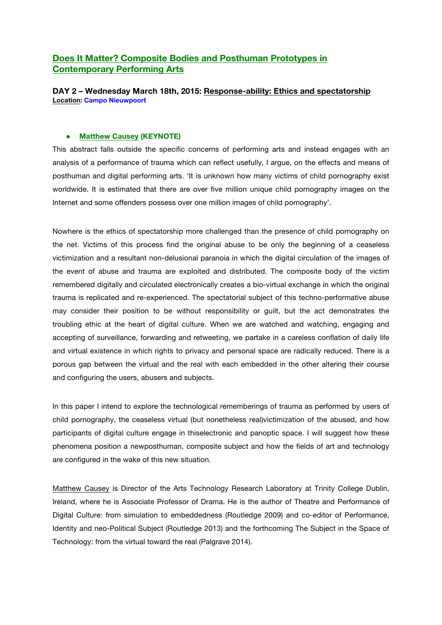## **Does It Matter? Composite Bodies and Posthuman Prototypes in Contemporary Performing Arts**

**DAY 2 – Wednesday March 18th, 2015: Response-ability: Ethics and spectatorship Location: Campo Nieuwpoort**

### ● **Matthew Causey (KEYNOTE)**

This abstract falls outside the specific concerns of performing arts and instead engages with an analysis of a performance of trauma which can reflect usefully, I argue, on the effects and means of posthuman and digital performing arts. 'It is unknown how many victims of child pornography exist worldwide. It is estimated that there are over five million unique child pornography images on the Internet and some offenders possess over one million images of child pornography'.

Nowhere is the ethics of spectatorship more challenged than the presence of child pornography on the net. Victims of this process find the original abuse to be only the beginning of a ceaseless victimization and a resultant non-delusional paranoia in which the digital circulation of the images of the event of abuse and trauma are exploited and distributed. The composite body of the victim remembered digitally and circulated electronically creates a bio-virtual exchange in which the original trauma is replicated and re-experienced. The spectatorial subject of this techno-performative abuse may consider their position to be without responsibility or guilt, but the act demonstrates the troubling ethic at the heart of digital culture. When we are watched and watching, engaging and accepting of surveillance, forwarding and retweeting, we partake in a careless conflation of daily life and virtual existence in which rights to privacy and personal space are radically reduced. There is a porous gap between the virtual and the real with each embedded in the other altering their course and configuring the users, abusers and subjects.

In this paper I intend to explore the technological rememberings of trauma as performed by users of child pornography, the ceaseless virtual (but nonetheless real)victimization of the abused, and how participants of digital culture engage in thiselectronic and panoptic space. I will suggest how these phenomena position a newposthuman, composite subject and how the fields of art and technology are configured in the wake of this new situation.

Matthew Causey is Director of the Arts Technology Research Laboratory at Trinity College Dublin, Ireland, where he is Associate Professor of Drama. He is the author of Theatre and Performance of Digital Culture: from simulation to embeddedness (Routledge 2009) and co-editor of Performance, Identity and neo-Political Subject (Routledge 2013) and the forthcoming The Subject in the Space of Technology: from the virtual toward the real (Palgrave 2014).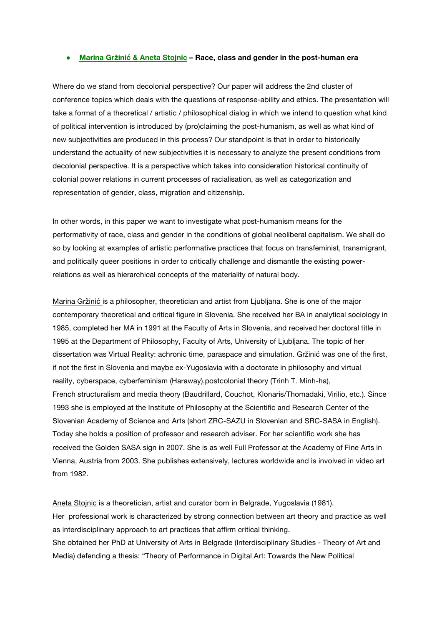#### ● **Marina Gržinić & Aneta Stojnic – Race, class and gender in the post-human era**

Where do we stand from decolonial perspective? Our paper will address the 2nd cluster of conference topics which deals with the questions of response-ability and ethics. The presentation will take a format of a theoretical / artistic / philosophical dialog in which we intend to question what kind of political intervention is introduced by (pro)claiming the post-humanism, as well as what kind of new subjectivities are produced in this process? Our standpoint is that in order to historically understand the actuality of new subjectivities it is necessary to analyze the present conditions from decolonial perspective. It is a perspective which takes into consideration historical continuity of colonial power relations in current processes of racialisation, as well as categorization and representation of gender, class, migration and citizenship.

In other words, in this paper we want to investigate what post-humanism means for the performativity of race, class and gender in the conditions of global neoliberal capitalism. We shall do so by looking at examples of artistic performative practices that focus on transfeminist, transmigrant, and politically queer positions in order to critically challenge and dismantle the existing powerrelations as well as hierarchical concepts of the materiality of natural body.

Marina Gržinić is a philosopher, theoretician and artist from Ljubljana. She is one of the major contemporary theoretical and critical figure in Slovenia. She received her BA in analytical sociology in 1985, completed her MA in 1991 at the Faculty of Arts in Slovenia, and received her doctoral title in 1995 at the Department of Philosophy, Faculty of Arts, University of Ljubljana. The topic of her dissertation was Virtual Reality: achronic time, paraspace and simulation. Gržinić was one of the first, if not the first in Slovenia and maybe ex-Yugoslavia with a doctorate in philosophy and virtual reality, cyberspace, cyberfeminism (Haraway),postcolonial theory (Trinh T. Minh-ha), French structuralism and media theory (Baudrillard, Couchot, Klonaris/Thomadaki, Virilio, etc.). Since 1993 she is employed at the Institute of Philosophy at the Scientific and Research Center of the Slovenian Academy of Science and Arts (short ZRC-SAZU in Slovenian and SRC-SASA in English). Today she holds a position of professor and research adviser. For her scientific work she has received the Golden SASA sign in 2007. She is as well Full Professor at the Academy of Fine Arts in Vienna, Austria from 2003. She publishes extensively, lectures worldwide and is involved in video art from 1982.

Aneta Stojnic is a theoretician, artist and curator born in Belgrade, Yugoslavia (1981). Her professional work is characterized by strong connection between art theory and practice as well as interdisciplinary approach to art practices that affirm critical thinking. She obtained her PhD at University of Arts in Belgrade (Interdisciplinary Studies - Theory of Art and Media) defending a thesis: "Theory of Performance in Digital Art: Towards the New Political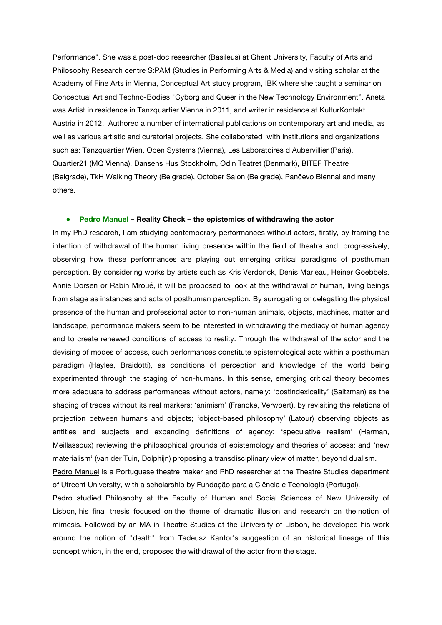Performance". She was a post-doc researcher (Basileus) at Ghent University, Faculty of Arts and Philosophy Research centre S:PAM (Studies in Performing Arts & Media) and visiting scholar at the Academy of Fine Arts in Vienna, Conceptual Art study program, IBK where she taught a seminar on Conceptual Art and Techno-Bodies "Cyborg and Queer in the New Technology Environment". Aneta was Artist in residence in Tanzquartier Vienna in 2011, and writer in residence at KulturKontakt Austria in 2012. Authored a number of international publications on contemporary art and media, as well as various artistic and curatorial projects. She collaborated with institutions and organizations such as: Tanzquartier Wien, Open Systems (Vienna), Les Laboratoires d'Aubervillier (Paris), Quartier21 (MQ Vienna), Dansens Hus Stockholm, Odin Teatret (Denmark), BITEF Theatre (Belgrade), TkH Walking Theory (Belgrade), October Salon (Belgrade), Pančevo Biennal and many others.

### ● **Pedro Manuel – Reality Check – the epistemics of withdrawing the actor**

In my PhD research, I am studying contemporary performances without actors, firstly, by framing the intention of withdrawal of the human living presence within the field of theatre and, progressively, observing how these performances are playing out emerging critical paradigms of posthuman perception. By considering works by artists such as Kris Verdonck, Denis Marleau, Heiner Goebbels, Annie Dorsen or Rabih Mroué, it will be proposed to look at the withdrawal of human, living beings from stage as instances and acts of posthuman perception. By surrogating or delegating the physical presence of the human and professional actor to non-human animals, objects, machines, matter and landscape, performance makers seem to be interested in withdrawing the mediacy of human agency and to create renewed conditions of access to reality. Through the withdrawal of the actor and the devising of modes of access, such performances constitute epistemological acts within a posthuman paradigm (Hayles, Braidotti), as conditions of perception and knowledge of the world being experimented through the staging of non-humans. In this sense, emerging critical theory becomes more adequate to address performances without actors, namely: 'postindexicality' (Saltzman) as the shaping of traces without its real markers; 'animism' (Francke, Verwoert), by revisiting the relations of projection between humans and objects; 'object-based philosophy' (Latour) observing objects as entities and subjects and expanding definitions of agency; 'speculative realism' (Harman, Meillassoux) reviewing the philosophical grounds of epistemology and theories of access; and 'new materialism' (van der Tuin, Dolphijn) proposing a transdisciplinary view of matter, beyond dualism.

Pedro Manuel is a Portuguese theatre maker and PhD researcher at the Theatre Studies department of Utrecht University, with a scholarship by Fundação para a Ciência e Tecnologia (Portugal).

Pedro studied Philosophy at the Faculty of Human and Social Sciences of New University of Lisbon, his final thesis focused on the theme of dramatic illusion and research on the notion of mimesis. Followed by an MA in Theatre Studies at the University of Lisbon, he developed his work around the notion of "death" from Tadeusz Kantor's suggestion of an historical lineage of this concept which, in the end, proposes the withdrawal of the actor from the stage.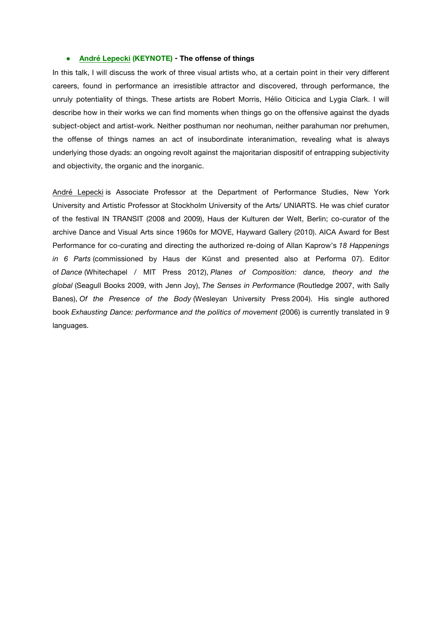#### ● **André Lepecki (KEYNOTE) - The offense of things**

In this talk, I will discuss the work of three visual artists who, at a certain point in their very different careers, found in performance an irresistible attractor and discovered, through performance, the unruly potentiality of things. These artists are Robert Morris, Hélio Oiticica and Lygia Clark. I will describe how in their works we can find moments when things go on the offensive against the dyads subject-object and artist-work. Neither posthuman nor neohuman, neither parahuman nor prehumen, the offense of things names an act of insubordinate interanimation, revealing what is always underlying those dyads: an ongoing revolt against the majoritarian dispositif of entrapping subjectivity and objectivity, the organic and the inorganic.

André Lepecki is Associate Professor at the Department of Performance Studies, New York University and Artistic Professor at Stockholm University of the Arts/ UNIARTS. He was chief curator of the festival IN TRANSIT (2008 and 2009), Haus der Kulturen der Welt, Berlin; co-curator of the archive Dance and Visual Arts since 1960s for MOVE, Hayward Gallery (2010). AICA Award for Best Performance for co-curating and directing the authorized re-doing of Allan Kaprow's *18 Happenings in 6 Parts* (commissioned by Haus der Künst and presented also at Performa 07). Editor of *Dance* (Whitechapel / MIT Press 2012), *Planes of Composition: dance, theory and the global* (Seagull Books 2009, with Jenn Joy), *The Senses in Performance* (Routledge 2007, with Sally Banes), *Of the Presence of the Body* (Wesleyan University Press 2004). His single authored book *Exhausting Dance: performance and the politics of movement* (2006) is currently translated in 9 languages.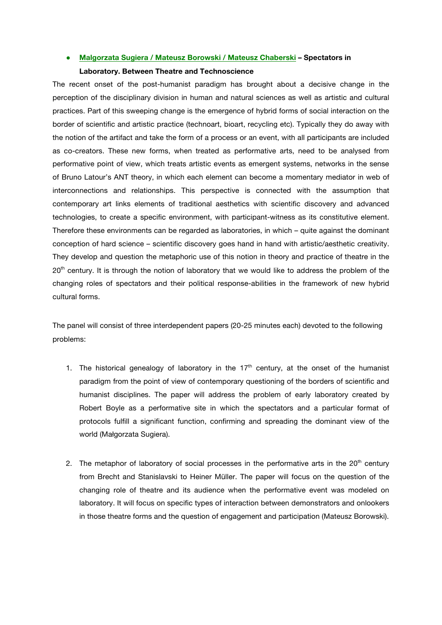#### ● **Malgorzata Sugiera / Mateusz Borowski / Mateusz Chaberski – Spectators in**

### **Laboratory. Between Theatre and Technoscience**

The recent onset of the post-humanist paradigm has brought about a decisive change in the perception of the disciplinary division in human and natural sciences as well as artistic and cultural practices. Part of this sweeping change is the emergence of hybrid forms of social interaction on the border of scientific and artistic practice (technoart, bioart, recycling etc). Typically they do away with the notion of the artifact and take the form of a process or an event, with all participants are included as co-creators. These new forms, when treated as performative arts, need to be analysed from performative point of view, which treats artistic events as emergent systems, networks in the sense of Bruno Latour's ANT theory, in which each element can become a momentary mediator in web of interconnections and relationships. This perspective is connected with the assumption that contemporary art links elements of traditional aesthetics with scientific discovery and advanced technologies, to create a specific environment, with participant-witness as its constitutive element. Therefore these environments can be regarded as laboratories, in which – quite against the dominant conception of hard science – scientific discovery goes hand in hand with artistic/aesthetic creativity. They develop and question the metaphoric use of this notion in theory and practice of theatre in the 20<sup>th</sup> century. It is through the notion of laboratory that we would like to address the problem of the changing roles of spectators and their political response-abilities in the framework of new hybrid cultural forms.

The panel will consist of three interdependent papers (20-25 minutes each) devoted to the following problems:

- 1. The historical genealogy of laboratory in the  $17<sup>th</sup>$  century, at the onset of the humanist paradigm from the point of view of contemporary questioning of the borders of scientific and humanist disciplines. The paper will address the problem of early laboratory created by Robert Boyle as a performative site in which the spectators and a particular format of protocols fulfill a significant function, confirming and spreading the dominant view of the world (Małgorzata Sugiera).
- 2. The metaphor of laboratory of social processes in the performative arts in the  $20<sup>th</sup>$  century from Brecht and Stanislavski to Heiner Müller. The paper will focus on the question of the changing role of theatre and its audience when the performative event was modeled on laboratory. It will focus on specific types of interaction between demonstrators and onlookers in those theatre forms and the question of engagement and participation (Mateusz Borowski).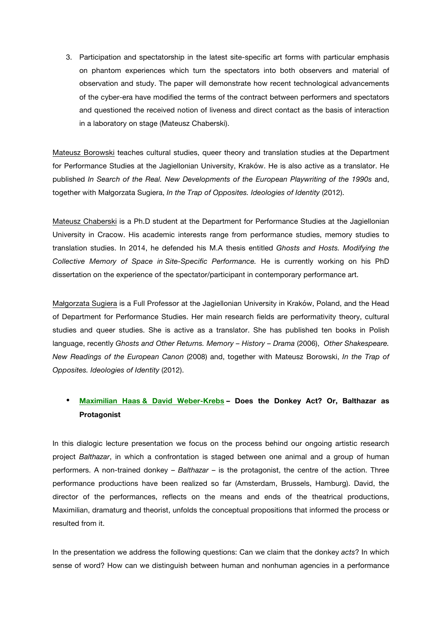3. Participation and spectatorship in the latest site-specific art forms with particular emphasis on phantom experiences which turn the spectators into both observers and material of observation and study. The paper will demonstrate how recent technological advancements of the cyber-era have modified the terms of the contract between performers and spectators and questioned the received notion of liveness and direct contact as the basis of interaction in a laboratory on stage (Mateusz Chaberski).

Mateusz Borowski teaches cultural studies, queer theory and translation studies at the Department for Performance Studies at the Jagiellonian University, Kraków. He is also active as a translator. He published *In Search of the Real. New Developments of the European Playwriting of the 1990s* and, together with Małgorzata Sugiera, *In the Trap of Opposites. Ideologies of Identity* (2012).

Mateusz Chaberski is a Ph.D student at the Department for Performance Studies at the Jagiellonian University in Cracow. His academic interests range from performance studies, memory studies to translation studies. In 2014, he defended his M.A thesis entitled *Ghosts and Hosts. Modifying the Collective Memory of Space in Site-Specific Performance.* He is currently working on his PhD dissertation on the experience of the spectator/participant in contemporary performance art.

Małgorzata Sugiera is a Full Professor at the Jagiellonian University in Kraków, Poland, and the Head of Department for Performance Studies. Her main research fields are performativity theory, cultural studies and queer studies. She is active as a translator. She has published ten books in Polish language, recently *Ghosts and Other Returns. Memory – History – Drama* (2006), *Other Shakespeare. New Readings of the European Canon* (2008) and, together with Mateusz Borowski, *In the Trap of Opposites. Ideologies of Identity* (2012).

# • **Maximilian Haas & David Weber-Krebs – Does the Donkey Act? Or, Balthazar as Protagonist**

In this dialogic lecture presentation we focus on the process behind our ongoing artistic research project *Balthazar*, in which a confrontation is staged between one animal and a group of human performers. A non-trained donkey – *Balthazar* – is the protagonist, the centre of the action. Three performance productions have been realized so far (Amsterdam, Brussels, Hamburg). David, the director of the performances, reflects on the means and ends of the theatrical productions, Maximilian, dramaturg and theorist, unfolds the conceptual propositions that informed the process or resulted from it.

In the presentation we address the following questions: Can we claim that the donkey *acts*? In which sense of word? How can we distinguish between human and nonhuman agencies in a performance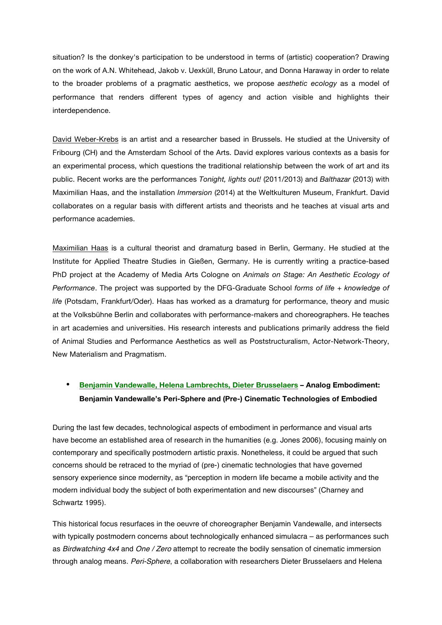situation? Is the donkey's participation to be understood in terms of (artistic) cooperation? Drawing on the work of A.N. Whitehead, Jakob v. Uexküll, Bruno Latour, and Donna Haraway in order to relate to the broader problems of a pragmatic aesthetics, we propose *aesthetic ecology* as a model of performance that renders different types of agency and action visible and highlights their interdependence.

David Weber-Krebs is an artist and a researcher based in Brussels. He studied at the University of Fribourg (CH) and the Amsterdam School of the Arts. David explores various contexts as a basis for an experimental process, which questions the traditional relationship between the work of art and its public. Recent works are the performances *Tonight, lights out!* (2011/2013) and *Balthazar* (2013) with Maximilian Haas, and the installation *Immersion* (2014) at the Weltkulturen Museum, Frankfurt. David collaborates on a regular basis with different artists and theorists and he teaches at visual arts and performance academies.

Maximilian Haas is a cultural theorist and dramaturg based in Berlin, Germany. He studied at the Institute for Applied Theatre Studies in Gießen, Germany. He is currently writing a practice-based PhD project at the Academy of Media Arts Cologne on *Animals on Stage: An Aesthetic Ecology of Performance*. The project was supported by the DFG-Graduate School *forms of life + knowledge of life* (Potsdam, Frankfurt/Oder). Haas has worked as a dramaturg for performance, theory and music at the Volksbühne Berlin and collaborates with performance-makers and choreographers. He teaches in art academies and universities. His research interests and publications primarily address the field of Animal Studies and Performance Aesthetics as well as Poststructuralism, Actor-Network-Theory, New Materialism and Pragmatism.

# • **Benjamin Vandewalle, Helena Lambrechts, Dieter Brusselaers – Analog Embodiment: Benjamin Vandewalle's Peri-Sphere and (Pre-) Cinematic Technologies of Embodied**

During the last few decades, technological aspects of embodiment in performance and visual arts have become an established area of research in the humanities (e.g. Jones 2006), focusing mainly on contemporary and specifically postmodern artistic praxis. Nonetheless, it could be argued that such concerns should be retraced to the myriad of (pre-) cinematic technologies that have governed sensory experience since modernity, as "perception in modern life became a mobile activity and the modern individual body the subject of both experimentation and new discourses" (Charney and Schwartz 1995).

This historical focus resurfaces in the oeuvre of choreographer Benjamin Vandewalle, and intersects with typically postmodern concerns about technologically enhanced simulacra – as performances such as *Birdwatching 4x4* and *One / Zero* attempt to recreate the bodily sensation of cinematic immersion through analog means. *Peri-Sphere*, a collaboration with researchers Dieter Brusselaers and Helena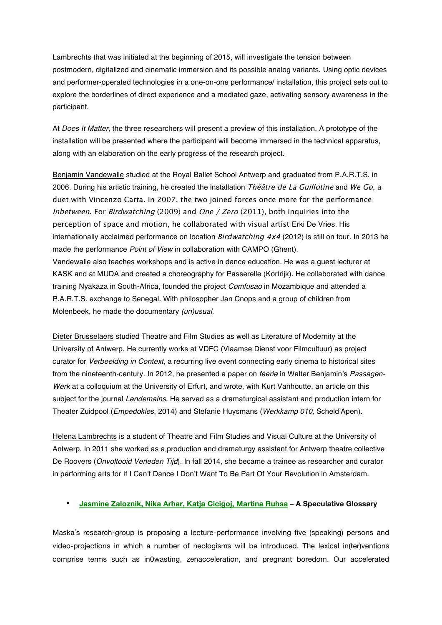Lambrechts that was initiated at the beginning of 2015, will investigate the tension between postmodern, digitalized and cinematic immersion and its possible analog variants. Using optic devices and performer-operated technologies in a one-on-one performance/ installation, this project sets out to explore the borderlines of direct experience and a mediated gaze, activating sensory awareness in the participant.

At *Does It Matter*, the three researchers will present a preview of this installation. A prototype of the installation will be presented where the participant will become immersed in the technical apparatus, along with an elaboration on the early progress of the research project.

Benjamin Vandewalle studied at the Royal Ballet School Antwerp and graduated from P.A.R.T.S. in 2006. During his artistic training, he created the installation Théâtre de La Guillotine and We Go, a duet with Vincenzo Carta. In 2007, the two joined forces once more for the performance Inbetween. For Birdwatching (2009) and One / Zero (2011), both inquiries into the perception of space and motion, he collaborated with visual artist Erki De Vries. His internationally acclaimed performance on location *Birdwatching*  $4x4$  *(2012)* is still on tour. In 2013 he made the performance *Point of View* in collaboration with CAMPO (Ghent). Vandewalle also teaches workshops and is active in dance education. He was a guest lecturer at KASK and at MUDA and created a choreography for Passerelle (Kortrijk). He collaborated with dance training Nyakaza in South-Africa, founded the project *Comfusao* in Mozambique and attended a P.A.R.T.S. exchange to Senegal. With philosopher Jan Cnops and a group of children from Molenbeek, he made the documentary *(un)usual*.

Dieter Brusselaers studied Theatre and Film Studies as well as Literature of Modernity at the University of Antwerp. He currently works at VDFC (Vlaamse Dienst voor Filmcultuur) as project curator for *Verbeelding in Context*, a recurring live event connecting early cinema to historical sites from the nineteenth-century. In 2012, he presented a paper on *féerie* in Walter Benjamin's *Passagen-Werk* at a colloquium at the University of Erfurt, and wrote, with Kurt Vanhoutte, an article on this subject for the journal *Lendemains*. He served as a dramaturgical assistant and production intern for Theater Zuidpool (*Empedokles*, 2014) and Stefanie Huysmans (*Werkkamp 010,* Scheld'Apen).

Helena Lambrechts is a student of Theatre and Film Studies and Visual Culture at the University of Antwerp. In 2011 she worked as a production and dramaturgy assistant for Antwerp theatre collective De Roovers (*Onvoltooid Verleden Tijd*). In fall 2014, she became a trainee as researcher and curator in performing arts for If I Can't Dance I Don't Want To Be Part Of Your Revolution in Amsterdam.

## • **Jasmine Zaloznik, Nika Arhar, Katja Cicigoj, Martina Ruhsa – A Speculative Glossary**

Maska´s research-group is proposing a lecture-performance involving five (speaking) persons and video-projections in which a number of neologisms will be introduced. The lexical in(ter)ventions comprise terms such as in0wasting, zenacceleration, and pregnant boredom. Our accelerated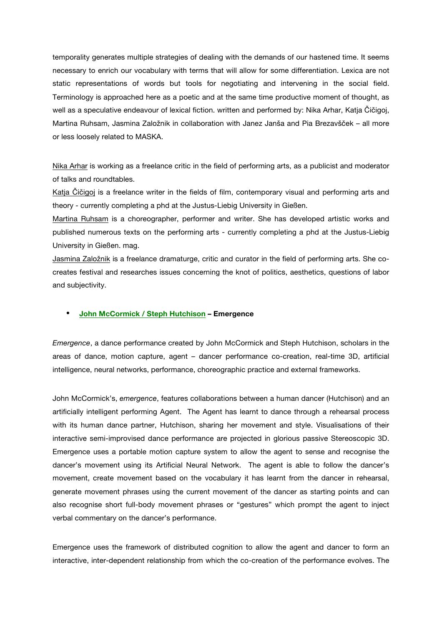temporality generates multiple strategies of dealing with the demands of our hastened time. It seems necessary to enrich our vocabulary with terms that will allow for some differentiation. Lexica are not static representations of words but tools for negotiating and intervening in the social field. Terminology is approached here as a poetic and at the same time productive moment of thought, as well as a speculative endeavour of lexical fiction. written and performed by: Nika Arhar, Katja Čičigoj, Martina Ruhsam, Jasmina Založnik in collaboration with Janez Janša and Pia Brezavšček – all more or less loosely related to MASKA.

Nika Arhar is working as a freelance critic in the field of performing arts, as a publicist and moderator of talks and roundtables.

Katja Čičigoj is a freelance writer in the fields of film, contemporary visual and performing arts and theory - currently completing a phd at the Justus-Liebig University in Gießen.

Martina Ruhsam is a choreographer, performer and writer. She has developed artistic works and published numerous texts on the performing arts - currently completing a phd at the Justus-Liebig University in Gießen. mag.

Jasmina Založnik is a freelance dramaturge, critic and curator in the field of performing arts. She cocreates festival and researches issues concerning the knot of politics, aesthetics, questions of labor and subjectivity.

### • **John McCormick / Steph Hutchison – Emergence**

*Emergence*, a dance performance created by John McCormick and Steph Hutchison, scholars in the areas of dance, motion capture, agent – dancer performance co-creation, real-time 3D, artificial intelligence, neural networks, performance, choreographic practice and external frameworks.

John McCormick's, *emergence*, features collaborations between a human dancer (Hutchison) and an artificially intelligent performing Agent. The Agent has learnt to dance through a rehearsal process with its human dance partner, Hutchison, sharing her movement and style. Visualisations of their interactive semi-improvised dance performance are projected in glorious passive Stereoscopic 3D. Emergence uses a portable motion capture system to allow the agent to sense and recognise the dancer's movement using its Artificial Neural Network. The agent is able to follow the dancer's movement, create movement based on the vocabulary it has learnt from the dancer in rehearsal, generate movement phrases using the current movement of the dancer as starting points and can also recognise short full-body movement phrases or "gestures" which prompt the agent to inject verbal commentary on the dancer's performance.

Emergence uses the framework of distributed cognition to allow the agent and dancer to form an interactive, inter-dependent relationship from which the co-creation of the performance evolves. The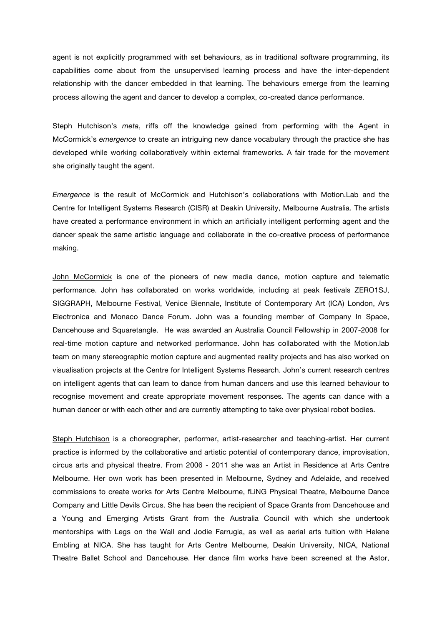agent is not explicitly programmed with set behaviours, as in traditional software programming, its capabilities come about from the unsupervised learning process and have the inter-dependent relationship with the dancer embedded in that learning. The behaviours emerge from the learning process allowing the agent and dancer to develop a complex, co-created dance performance.

Steph Hutchison's *meta*, riffs off the knowledge gained from performing with the Agent in McCormick's *emergence* to create an intriguing new dance vocabulary through the practice she has developed while working collaboratively within external frameworks. A fair trade for the movement she originally taught the agent.

*Emergence* is the result of McCormick and Hutchison's collaborations with Motion.Lab and the Centre for Intelligent Systems Research (CISR) at Deakin University, Melbourne Australia. The artists have created a performance environment in which an artificially intelligent performing agent and the dancer speak the same artistic language and collaborate in the co-creative process of performance making.

John McCormick is one of the pioneers of new media dance, motion capture and telematic performance. John has collaborated on works worldwide, including at peak festivals ZERO1SJ, SIGGRAPH, Melbourne Festival, Venice Biennale, Institute of Contemporary Art (ICA) London, Ars Electronica and Monaco Dance Forum. John was a founding member of Company In Space, Dancehouse and Squaretangle. He was awarded an Australia Council Fellowship in 2007-2008 for real-time motion capture and networked performance. John has collaborated with the Motion.lab team on many stereographic motion capture and augmented reality projects and has also worked on visualisation projects at the Centre for Intelligent Systems Research. John's current research centres on intelligent agents that can learn to dance from human dancers and use this learned behaviour to recognise movement and create appropriate movement responses. The agents can dance with a human dancer or with each other and are currently attempting to take over physical robot bodies.

Steph Hutchison is a choreographer, performer, artist-researcher and teaching-artist. Her current practice is informed by the collaborative and artistic potential of contemporary dance, improvisation, circus arts and physical theatre. From 2006 - 2011 she was an Artist in Residence at Arts Centre Melbourne. Her own work has been presented in Melbourne, Sydney and Adelaide, and received commissions to create works for Arts Centre Melbourne, fLiNG Physical Theatre, Melbourne Dance Company and Little Devils Circus. She has been the recipient of Space Grants from Dancehouse and a Young and Emerging Artists Grant from the Australia Council with which she undertook mentorships with Legs on the Wall and Jodie Farrugia, as well as aerial arts tuition with Helene Embling at NICA. She has taught for Arts Centre Melbourne, Deakin University, NICA, National Theatre Ballet School and Dancehouse. Her dance film works have been screened at the Astor,